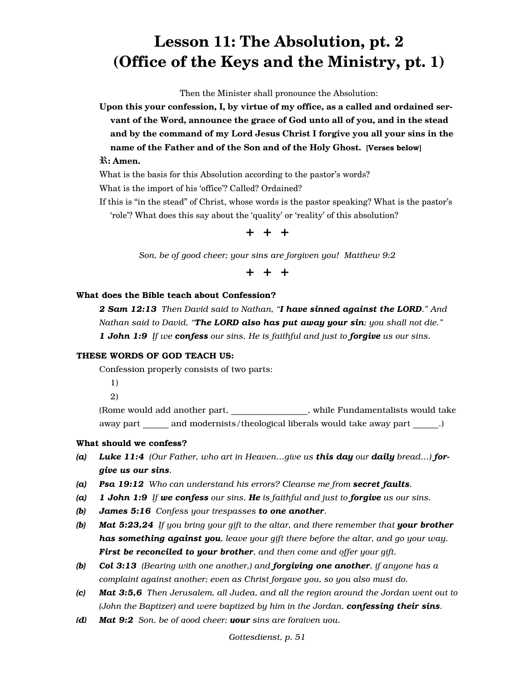# **Lesson 11: The Absolution, pt. 2 (Office of the Keys and the Ministry, pt. 1)**

Then the Minister shall pronounce the Absolution:

**Upon this your confession, I, by virtue of my office, as a called and ordained servant of the Word, announce the grace of God unto all of you, and in the stead and by the command of my Lord Jesus Christ I forgive you all your sins in the name of the Father and of the Son and of the Holy Ghost.** [Verses below]

#### R**: Amen.**

What is the basis for this Absolution according to the pastor's words?

What is the import of his 'office'? Called? Ordained?

If this is "in the stead" of Christ, whose words is the pastor speaking? What is the pastor's 'role'? What does this say about the 'quality' or 'reality' of this absolution?



*Son, be of good cheer; your sins are forgiven you! Matthew 9:2*

# + + +

#### What does the Bible teach about Confession?

*2 Sam 12:13 Then David said to Nathan, "I have sinned against the LORD." And Nathan said to David, "The LORD also has put away your sin; you shall not die." 1 John 1:9 If we confess our sins, He is faithful and just to forgive us our sins.*

#### THESE WORDS OF GOD TEACH US:

Confession properly consists of two parts:

1)

2)

(Rome would add another part,  $\qquad \qquad$ , while Fundamentalists would take away part and modernists/theological liberals would take away part and modernists/theological liberals would take away part

#### What should we confess?

- *(a) Luke 11:4 (Our Father, who art in Heaven…give us this day our daily bread…) forgive us our sins.*
- *(a) Psa 19:12 Who can understand his errors? Cleanse me from secret faults.*
- *(a) 1 John 1:9 If we confess our sins, He is faithful and just to forgive us our sins.*
- *(b) James 5:16 Confess your trespasses to one another.*
- **(b)** *Mat 5:23,24 If you bring your gift to the altar, and there remember that your brother has something against you, leave your gift there before the altar, and go your way. First be reconciled to your brother, and then come and offer your gift.*
- *(b) Col 3:13 (Bearing with one another,) and forgiving one another, if anyone has a complaint against another; even as Christ forgave you, so you also must do.*
- *(c) Mat 3:5,6 Then Jerusalem, all Judea, and all the region around the Jordan went out to (John the Baptizer) and were baptized by him in the Jordan, confessing their sins.*
- *(d) Mat 9:2 Son, be of good cheer; your sins are forgiven you.*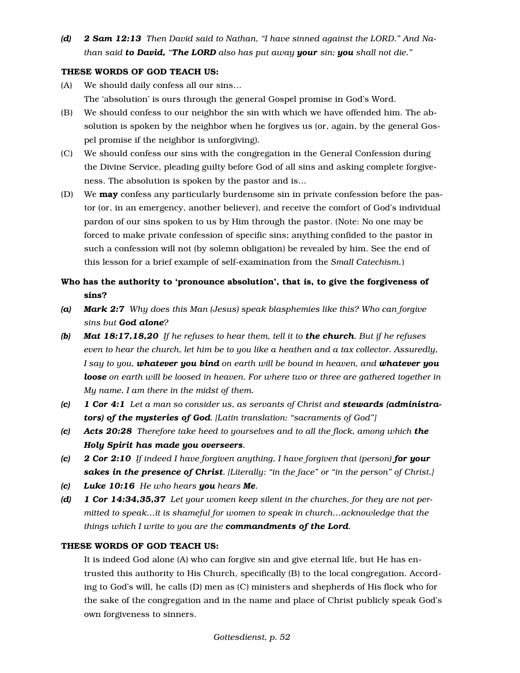*(d) 2 Sam 12:13 Then David said to Nathan, "I have sinned against the LORD." And Nathan said to David, "The LORD also has put away your sin; you shall not die."*

## THESE WORDS OF GOD TEACH US:

- (A) We should daily confess all our sins… The 'absolution' is ours through the general Gospel promise in God's Word.
- (B) We should confess to our neighbor the sin with which we have offended him. The absolution is spoken by the neighbor when he forgives us (or, again, by the general Gospel promise if the neighbor is unforgiving).
- (C) We should confess our sins with the congregation in the General Confession during the Divine Service, pleading guilty before God of all sins and asking complete forgiveness. The absolution is spoken by the pastor and is…
- (D) We **may** confess any particularly burdensome sin in private confession before the pastor (or, in an emergency, another believer), and receive the comfort of God's individual pardon of our sins spoken to us by Him through the pastor. (Note: No one may be forced to make private confession of specific sins; anything confided to the pastor in such a confession will not (by solemn obligation) be revealed by him. See the end of this lesson for a brief example of self-examination from the *Small Catechism.*)
- Who has the authority to 'pronounce absolution', that is, to give the forgiveness of sins?
- *(a) Mark 2:7 Why does this Man (Jesus) speak blasphemies like this? Who can forgive sins but God alone?*
- *(b) Mat 18:17,18,20 If he refuses to hear them, tell it to the church. But if he refuses even to hear the church, let him be to you like a heathen and a tax collector. Assuredly, I say to you, whatever you bind on earth will be bound in heaven, and whatever you loose on earth will be loosed in heaven. For where two or three are gathered together in My name, I am there in the midst of them.*
- *(c) 1 Cor 4:1 Let a man so consider us, as servants of Christ and stewards (administrators) of the mysteries of God. [Latin translation: "sacraments of God"]*
- *(c) Acts 20:28 Therefore take heed to yourselves and to all the flock, among which the Holy Spirit has made you overseers.*
- *(c) 2 Cor 2:10 If indeed I have forgiven anything, I have forgiven that (person) for your sakes in the presence of Christ. [Literally: "in the face" or "in the person" of Christ.]*
- *(c) Luke 10:16 He who hears you hears Me.*
- *(d) 1 Cor 14:34,35,37 Let your women keep silent in the churches, for they are not permitted to speak…it is shameful for women to speak in church…acknowledge that the things which I write to you are the commandments of the Lord.*

#### THESE WORDS OF GOD TEACH US:

It is indeed God alone (A) who can forgive sin and give eternal life, but He has entrusted this authority to His Church, specifically (B) to the local congregation. According to God's will, he calls (D) men as (C) ministers and shepherds of His flock who for the sake of the congregation and in the name and place of Christ publicly speak God's own forgiveness to sinners.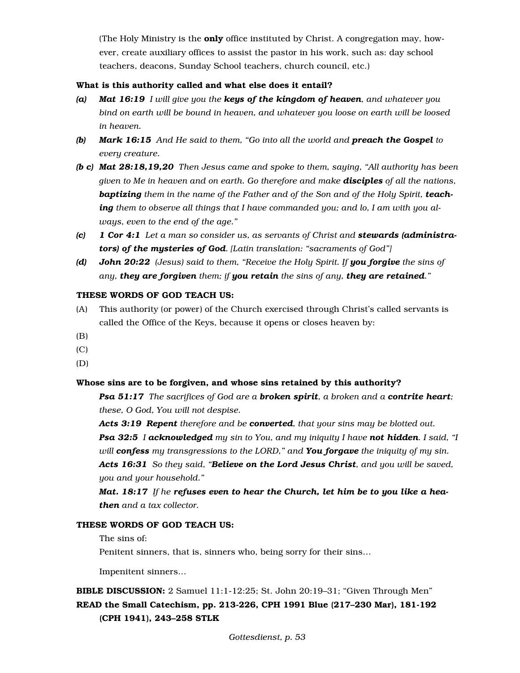(The Holy Ministry is the **only** office instituted by Christ. A congregation may, however, create auxiliary offices to assist the pastor in his work, such as: day school teachers, deacons, Sunday School teachers, church council, etc.)

### What is this authority called and what else does it entail?

- *(a) Mat 16:19 I will give you the keys of the kingdom of heaven, and whatever you bind on earth will be bound in heaven, and whatever you loose on earth will be loosed in heaven.*
- *(b) Mark 16:15 And He said to them, "Go into all the world and preach the Gospel to every creature.*
- *(b c) Mat 28:18,19,20 Then Jesus came and spoke to them, saying, "All authority has been given to Me in heaven and on earth. Go therefore and make disciples of all the nations,*  **baptizing** them in the name of the Father and of the Son and of the Holy Spirit, **teach***ing them to observe all things that I have commanded you; and lo, I am with you always, even to the end of the age."*
- *(c) 1 Cor 4:1 Let a man so consider us, as servants of Christ and stewards (administrators) of the mysteries of God. [Latin translation: "sacraments of God"]*
- *(d) John 20:22 (Jesus) said to them, "Receive the Holy Spirit. If you forgive the sins of any, they are forgiven them; if you retain the sins of any, they are retained."*

## THESE WORDS OF GOD TEACH US:

- (A) This authority (or power) of the Church exercised through Christ's called servants is called the Office of the Keys, because it opens or closes heaven by:
- (B)
- $(C)$
- (D)

## Whose sins are to be forgiven, and whose sins retained by this authority?

*Psa 51:17 The sacrifices of God are a broken spirit, a broken and a contrite heart; these, O God, You will not despise.*

*Acts 3:19 Repent therefore and be converted, that your sins may be blotted out. Psa 32:5 I acknowledged my sin to You, and my iniquity I have not hidden. I said, "I will confess my transgressions to the LORD," and You forgave the iniquity of my sin. Acts 16:31 So they said, "Believe on the Lord Jesus Christ, and you will be saved, you and your household."*

*Mat. 18:17 If he refuses even to hear the Church, let him be to you like a heathen and a tax collector.*

#### THESE WORDS OF GOD TEACH US:

The sins of:

Penitent sinners, that is, sinners who, being sorry for their sins…

Impenitent sinners…

# BIBLE DISCUSSION: 2 Samuel 11:1-12:25; St. John 20:19–31; "Given Through Men" READ the Small Catechism, pp. 213-226, CPH 1991 Blue (217–230 Mar), 181-192 (CPH 1941), 243–258 STLK